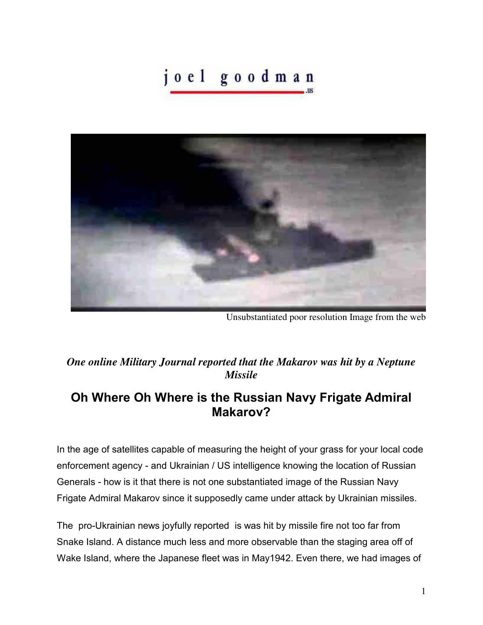## joel goodman



Unsubstantiated poor resolution Image from the web

*One online Military Journal reported that the Makarov was hit by a Neptune Missile* 

## **Oh Where Oh Where is the Russian Navy Frigate Admiral Makarov?**

In the age of satellites capable of measuring the height of your grass for your local code enforcement agency - and Ukrainian / US intelligence knowing the location of Russian Generals - how is it that there is not one substantiated image of the Russian Navy Frigate Admiral Makarov since it supposedly came under attack by Ukrainian missiles.

The pro-Ukrainian news joyfully reported is was hit by missile fire not too far from Snake Island. A distance much less and more observable than the staging area off of Wake Island, where the Japanese fleet was in May1942. Even there, we had images of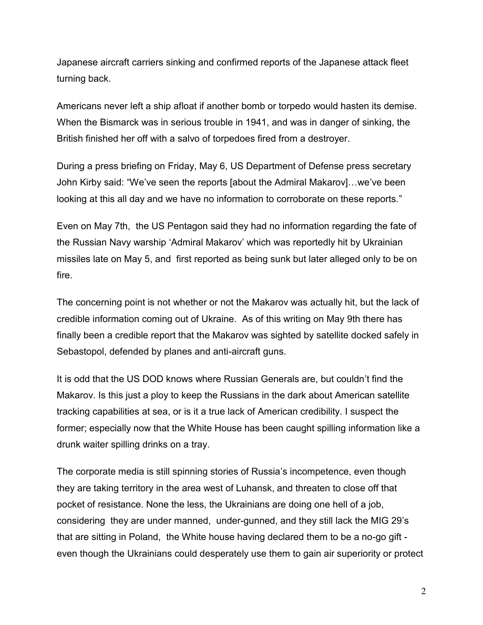Japanese aircraft carriers sinking and confirmed reports of the Japanese attack fleet turning back.

Americans never left a ship afloat if another bomb or torpedo would hasten its demise. When the Bismarck was in serious trouble in 1941, and was in danger of sinking, the British finished her off with a salvo of torpedoes fired from a destroyer.

During a press briefing on Friday, May 6, US Department of Defense press secretary John Kirby said: "We've seen the reports [about the Admiral Makarov]…we've been looking at this all day and we have no information to corroborate on these reports."

Even on May 7th, the US Pentagon said they had no information regarding the fate of the Russian Navy warship 'Admiral Makarov' which was reportedly hit by Ukrainian missiles late on May 5, and first reported as being sunk but later alleged only to be on fire.

The concerning point is not whether or not the Makarov was actually hit, but the lack of credible information coming out of Ukraine. As of this writing on May 9th there has finally been a credible report that the Makarov was sighted by satellite docked safely in Sebastopol, defended by planes and anti-aircraft guns.

It is odd that the US DOD knows where Russian Generals are, but couldn't find the Makarov. Is this just a ploy to keep the Russians in the dark about American satellite tracking capabilities at sea, or is it a true lack of American credibility. I suspect the former; especially now that the White House has been caught spilling information like a drunk waiter spilling drinks on a tray.

The corporate media is still spinning stories of Russia's incompetence, even though they are taking territory in the area west of Luhansk, and threaten to close off that pocket of resistance. None the less, the Ukrainians are doing one hell of a job, considering they are under manned, under-gunned, and they still lack the MIG 29's that are sitting in Poland, the White house having declared them to be a no-go gift even though the Ukrainians could desperately use them to gain air superiority or protect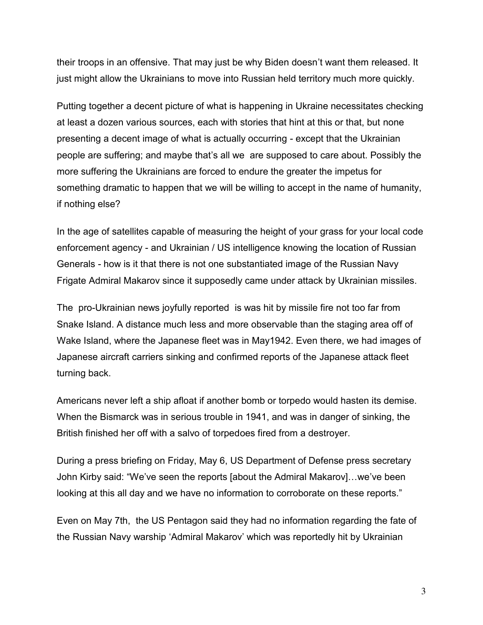their troops in an offensive. That may just be why Biden doesn't want them released. It just might allow the Ukrainians to move into Russian held territory much more quickly.

Putting together a decent picture of what is happening in Ukraine necessitates checking at least a dozen various sources, each with stories that hint at this or that, but none presenting a decent image of what is actually occurring - except that the Ukrainian people are suffering; and maybe that's all we are supposed to care about. Possibly the more suffering the Ukrainians are forced to endure the greater the impetus for something dramatic to happen that we will be willing to accept in the name of humanity, if nothing else?

In the age of satellites capable of measuring the height of your grass for your local code enforcement agency - and Ukrainian / US intelligence knowing the location of Russian Generals - how is it that there is not one substantiated image of the Russian Navy Frigate Admiral Makarov since it supposedly came under attack by Ukrainian missiles.

The pro-Ukrainian news joyfully reported is was hit by missile fire not too far from Snake Island. A distance much less and more observable than the staging area off of Wake Island, where the Japanese fleet was in May1942. Even there, we had images of Japanese aircraft carriers sinking and confirmed reports of the Japanese attack fleet turning back.

Americans never left a ship afloat if another bomb or torpedo would hasten its demise. When the Bismarck was in serious trouble in 1941, and was in danger of sinking, the British finished her off with a salvo of torpedoes fired from a destroyer.

During a press briefing on Friday, May 6, US Department of Defense press secretary John Kirby said: "We've seen the reports [about the Admiral Makarov]…we've been looking at this all day and we have no information to corroborate on these reports."

Even on May 7th, the US Pentagon said they had no information regarding the fate of the Russian Navy warship 'Admiral Makarov' which was reportedly hit by Ukrainian